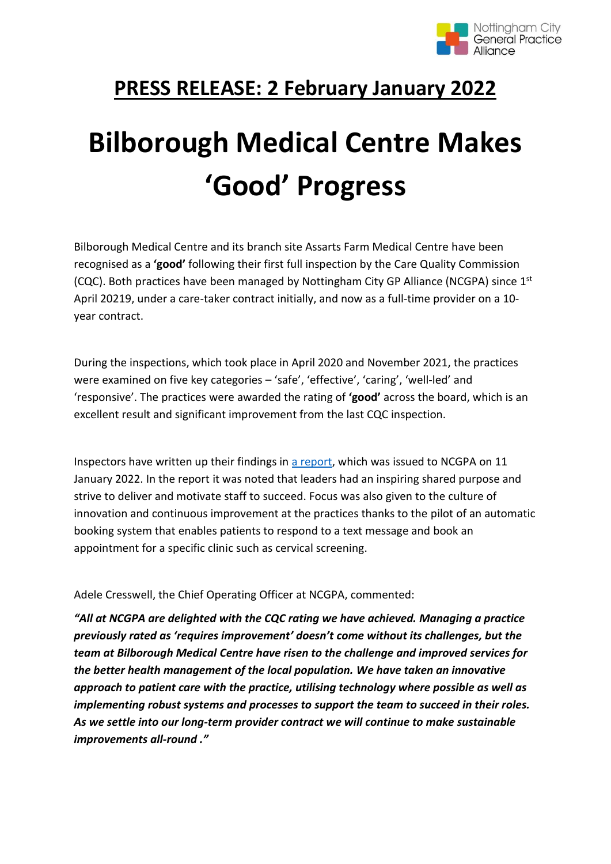

## **PRESS RELEASE: 2 February January 2022**

## **Bilborough Medical Centre Makes 'Good' Progress**

Bilborough Medical Centre and its branch site Assarts Farm Medical Centre have been recognised as a **'good'** following their first full inspection by the Care Quality Commission (CQC). Both practices have been managed by Nottingham City GP Alliance (NCGPA) since 1st April 20219, under a care-taker contract initially, and now as a full-time provider on a 10 year contract.

During the inspections, which took place in April 2020 and November 2021, the practices were examined on five key categories – 'safe', 'effective', 'caring', 'well-led' and 'responsive'. The practices were awarded the rating of **'good'** across the board, which is an excellent result and significant improvement from the last CQC inspection.

Inspectors have written up their findings in [a report,](https://www.cqc.org.uk/location/1-6504024470/inspection-summary#overall) which was issued to NCGPA on 11 January 2022. In the report it was noted that leaders had an inspiring shared purpose and strive to deliver and motivate staff to succeed. Focus was also given to the culture of innovation and continuous improvement at the practices thanks to the pilot of an automatic booking system that enables patients to respond to a text message and book an appointment for a specific clinic such as cervical screening.

Adele Cresswell, the Chief Operating Officer at NCGPA, commented:

*"All at NCGPA are delighted with the CQC rating we have achieved. Managing a practice previously rated as 'requires improvement' doesn't come without its challenges, but the team at Bilborough Medical Centre have risen to the challenge and improved services for the better health management of the local population. We have taken an innovative approach to patient care with the practice, utilising technology where possible as well as implementing robust systems and processes to support the team to succeed in their roles. As we settle into our long-term provider contract we will continue to make sustainable improvements all-round ."*